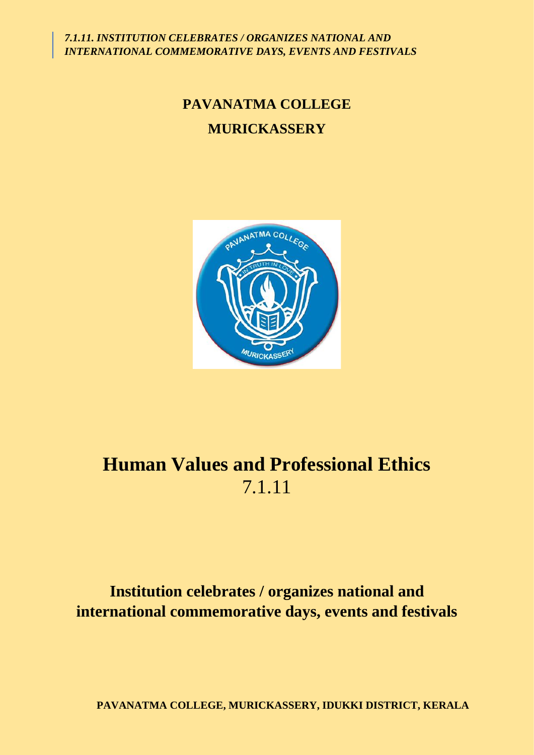*7.1.11. INSTITUTION CELEBRATES / ORGANIZES NATIONAL AND INTERNATIONAL COMMEMORATIVE DAYS, EVENTS AND FESTIVALS*

## **PAVANATMA COLLEGE MURICKASSERY**



# **Human Values and Professional Ethics** 7.1.11

### **Institution celebrates / organizes national and international commemorative days, events and festivals**

**PAVANATMA COLLEGE, MURICKASSERY, IDUKKI DISTRICT, KERALA**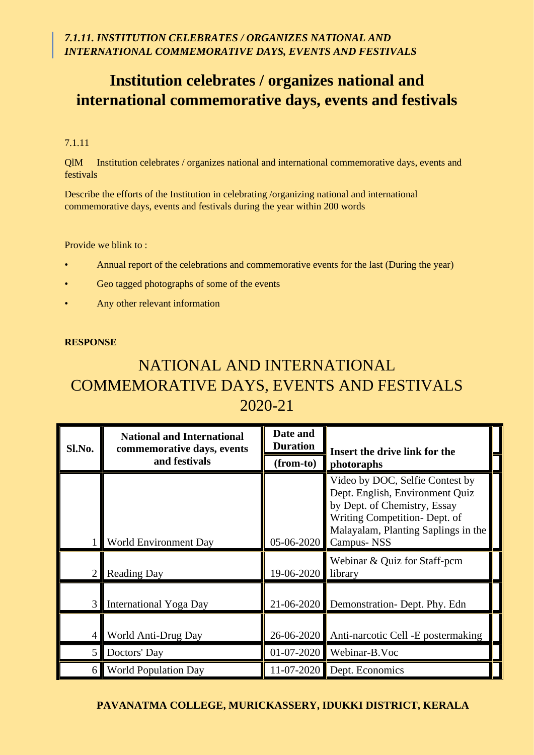### **Institution celebrates / organizes national and international commemorative days, events and festivals**

#### 7.1.11

QlM Institution celebrates / organizes national and international commemorative days, events and festivals

Describe the efforts of the Institution in celebrating /organizing national and international commemorative days, events and festivals during the year within 200 words

Provide we blink to :

- Annual report of the celebrations and commemorative events for the last (During the year)
- Geo tagged photographs of some of the events
- Any other relevant information

#### **RESPONSE**

### NATIONAL AND INTERNATIONAL COMMEMORATIVE DAYS, EVENTS AND FESTIVALS 2020-21

| Sl.No.                  | <b>National and International</b><br>commemorative days, events | Date and<br><b>Duration</b> | Insert the drive link for the                                                                                                                                                            |
|-------------------------|-----------------------------------------------------------------|-----------------------------|------------------------------------------------------------------------------------------------------------------------------------------------------------------------------------------|
|                         | and festivals                                                   | (from-to)                   | photoraphs                                                                                                                                                                               |
|                         | <b>World Environment Day</b>                                    | 05-06-2020                  | Video by DOC, Selfie Contest by<br>Dept. English, Environment Quiz<br>by Dept. of Chemistry, Essay<br>Writing Competition- Dept. of<br>Malayalam, Planting Saplings in the<br>Campus-NSS |
| 2                       | <b>Reading Day</b>                                              | 19-06-2020                  | Webinar & Quiz for Staff-pcm<br>library                                                                                                                                                  |
| $\overline{3}$          | International Yoga Day                                          |                             | 21-06-2020 Demonstration- Dept. Phy. Edn                                                                                                                                                 |
| $\overline{4}$          | World Anti-Drug Day                                             | 26-06-2020                  | Anti-narcotic Cell -E postermaking                                                                                                                                                       |
| $\overline{\mathbf{5}}$ | Doctors' Day                                                    | $01-07-2020$                | Webinar-B.Voc                                                                                                                                                                            |
| 6                       | <b>World Population Day</b>                                     | $11 - 07 - 2020$            | Dept. Economics                                                                                                                                                                          |

#### **PAVANATMA COLLEGE, MURICKASSERY, IDUKKI DISTRICT, KERALA**